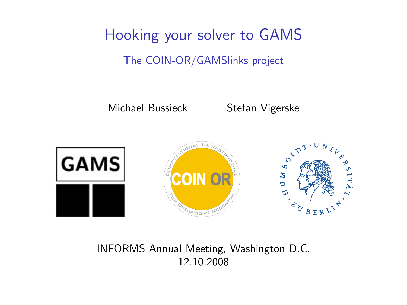Hooking your solver to GAMS The COIN-OR/GAMSlinks project

Michael Bussieck Stefan Vigerske



INFORMS Annual Meeting, Washington D.C. 12.10.2008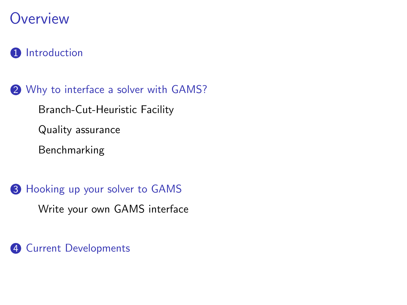#### **Overview**

#### **1** [Introduction](#page-2-0)

2 [Why to interface a solver with GAMS?](#page-9-0) [Branch-Cut-Heuristic Facility](#page-9-0)

[Quality assurance](#page-23-0)

[Benchmarking](#page-29-0)

<sup>3</sup> [Hooking up your solver to GAMS](#page-44-0) [Write your own GAMS interface](#page-44-0)

4 [Current Developments](#page-57-0)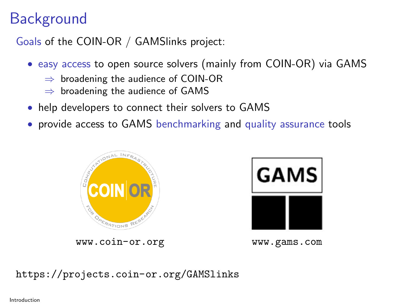## **Background**

Goals of the COIN-OR / GAMSlinks project:

- easy access to open source solvers (mainly from COIN-OR) via GAMS
	- $\Rightarrow$  broadening the audience of COIN-OR
	- $\Rightarrow$  broadening the audience of GAMS
- help developers to connect their solvers to GAMS
- provide access to GAMS benchmarking and quality assurance tools



**GAMS** 

<www.coin-or.org> <www.gams.com>

<span id="page-2-0"></span>

<https://projects.coin-or.org/GAMSlinks>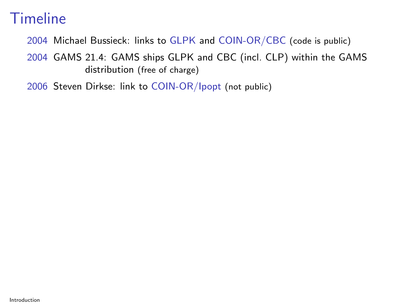2004 Michael Bussieck: links to GLPK and COIN-OR/CBC (code is public)

2004 GAMS 21.4: GAMS ships GLPK and CBC (incl. CLP) within the GAMS distribution (free of charge)

2006 Steven Dirkse: link to COIN-OR/Ipopt (not public)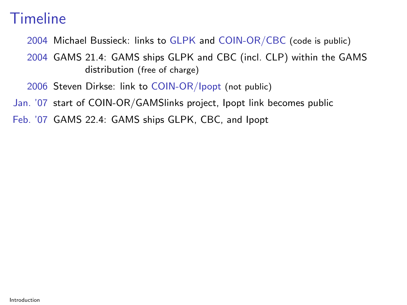2004 Michael Bussieck: links to GLPK and COIN-OR/CBC (code is public)

2004 GAMS 21.4: GAMS ships GLPK and CBC (incl. CLP) within the GAMS distribution (free of charge)

2006 Steven Dirkse: link to COIN-OR/Ipopt (not public)

Jan. '07 start of COIN-OR/GAMSlinks project, Ipopt link becomes public

Feb. '07 GAMS 22.4: GAMS ships GLPK, CBC, and Ipopt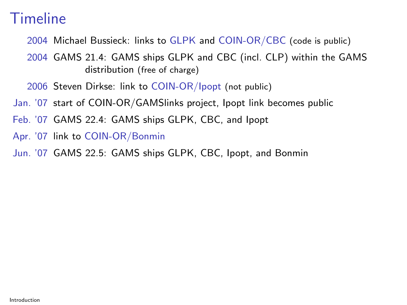- 2004 Michael Bussieck: links to GLPK and COIN-OR/CBC (code is public)
- 2004 GAMS 21.4: GAMS ships GLPK and CBC (incl. CLP) within the GAMS distribution (free of charge)
- 2006 Steven Dirkse: link to COIN-OR/Ipopt (not public)
- Jan. '07 start of COIN-OR/GAMSlinks project, Ipopt link becomes public
- Feb. '07 GAMS 22.4: GAMS ships GLPK, CBC, and Ipopt
- Apr. '07 link to COIN-OR/Bonmin
- Jun. '07 GAMS 22.5: GAMS ships GLPK, CBC, Ipopt, and Bonmin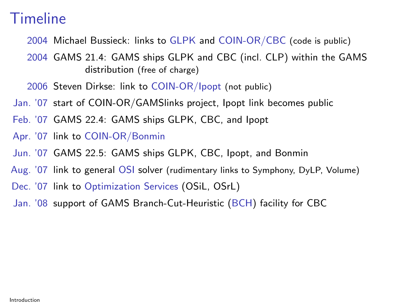- 2004 Michael Bussieck: links to GLPK and COIN-OR/CBC (code is public)
- 2004 GAMS 21.4: GAMS ships GLPK and CBC (incl. CLP) within the GAMS distribution (free of charge)
- 2006 Steven Dirkse: link to COIN-OR/Ipopt (not public)
- Jan. '07 start of COIN-OR/GAMSlinks project, Ipopt link becomes public
- Feb. '07 GAMS 22.4: GAMS ships GLPK, CBC, and Ipopt
- Apr. '07 link to COIN-OR/Bonmin
- Jun. '07 GAMS 22.5: GAMS ships GLPK, CBC, Ipopt, and Bonmin
- Aug. '07 link to general OSI solver (rudimentary links to Symphony, DyLP, Volume)
- Dec. '07 link to Optimization Services (OSiL, OSrL)
- Jan. '08 support of GAMS Branch-Cut-Heuristic (BCH) facility for CBC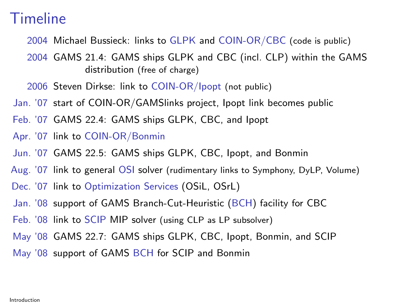- 2004 Michael Bussieck: links to GLPK and COIN-OR/CBC (code is public)
- 2004 GAMS 21.4: GAMS ships GLPK and CBC (incl. CLP) within the GAMS distribution (free of charge)
- 2006 Steven Dirkse: link to COIN-OR/Ipopt (not public)
- Jan. '07 start of COIN-OR/GAMSlinks project, Ipopt link becomes public
- Feb. '07 GAMS 22.4: GAMS ships GLPK, CBC, and Ipopt
- Apr. '07 link to COIN-OR/Bonmin
- Jun. '07 GAMS 22.5: GAMS ships GLPK, CBC, Ipopt, and Bonmin
- Aug. '07 link to general OSI solver (rudimentary links to Symphony, DyLP, Volume)
- Dec. '07 link to Optimization Services (OSiL, OSrL)
- Jan. '08 support of GAMS Branch-Cut-Heuristic (BCH) facility for CBC
- Feb. '08 link to SCIP MIP solver (using CLP as LP subsolver)
- May '08 GAMS 22.7: GAMS ships GLPK, CBC, Ipopt, Bonmin, and SCIP
- May '08 support of GAMS BCH for SCIP and Bonmin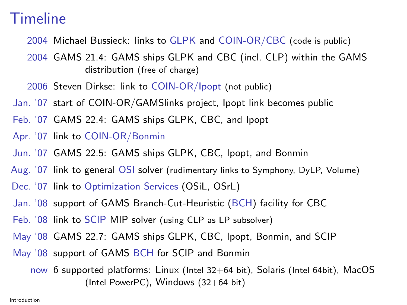- 2004 Michael Bussieck: links to GLPK and COIN-OR/CBC (code is public)
- 2004 GAMS 21.4: GAMS ships GLPK and CBC (incl. CLP) within the GAMS distribution (free of charge)
- 2006 Steven Dirkse: link to COIN-OR/Ipopt (not public)
- Jan. '07 start of COIN-OR/GAMSlinks project, Ipopt link becomes public
- Feb. '07 GAMS 22.4: GAMS ships GLPK, CBC, and Ipopt
- Apr. '07 link to COIN-OR/Bonmin
- Jun. '07 GAMS 22.5: GAMS ships GLPK, CBC, Ipopt, and Bonmin
- Aug. '07 link to general OSI solver (rudimentary links to Symphony, DyLP, Volume)
- Dec. '07 link to Optimization Services (OSiL, OSrL)
- Jan. '08 support of GAMS Branch-Cut-Heuristic (BCH) facility for CBC
- Feb. '08 link to SCIP MIP solver (using CLP as LP subsolver)
- May '08 GAMS 22.7: GAMS ships GLPK, CBC, Ipopt, Bonmin, and SCIP
- May '08 support of GAMS BCH for SCIP and Bonmin
	- now 6 supported platforms: Linux (Intel 32+64 bit), Solaris (Intel 64bit), MacOS (Intel PowerPC), Windows (32+64 bit)

Introduction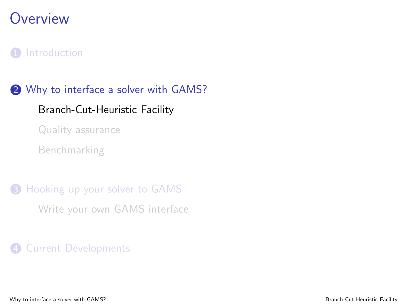### **Overview**

#### **1** [Introduction](#page-2-0)

2 [Why to interface a solver with GAMS?](#page-9-0) [Branch-Cut-Heuristic Facility](#page-9-0) [Quality assurance](#page-23-0)

[Benchmarking](#page-29-0)

**3** [Hooking up your solver to GAMS](#page-44-0) [Write your own GAMS interface](#page-44-0)

<span id="page-9-0"></span>4 [Current Developments](#page-57-0)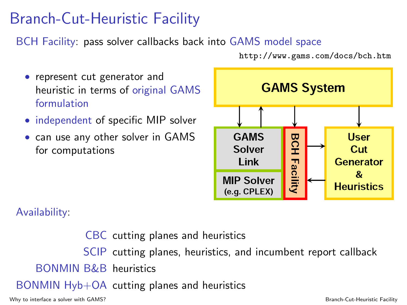## Branch-Cut-Heuristic Facility

BCH Facility: pass solver callbacks back into GAMS model space

• represent cut generator and heuristic in terms of original GAMS formulation

- independent of specific MIP solver
- can use any other solver in GAMS for computations



Availability:

CBC cutting planes and heuristics SCIP cutting planes, heuristics, and incumbent report callback BONMIN B&B heuristics BONMIN Hyb+OA cutting planes and heuristics

Why to interface a solver with GAMS? Branch-Cut-Heuristic Facility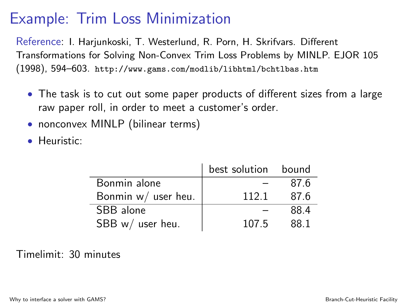## Example: Trim Loss Minimization

Reference: I. Harjunkoski, T. Westerlund, R. Porn, H. Skrifvars. Different Transformations for Solving Non-Convex Trim Loss Problems by MINLP. EJOR 105 (1998), 594–603. <http://www.gams.com/modlib/libhtml/bchtlbas.htm>

- The task is to cut out some paper products of different sizes from a large raw paper roll, in order to meet a customer's order.
- nonconvex MINLP (bilinear terms)
- Heuristic:

|                     | best solution bound |      |
|---------------------|---------------------|------|
| Bonmin alone        |                     | 87.6 |
| Bonmin w/ user heu. | 1121                | 87.6 |
| SBB alone           |                     | 884  |
| SBB w/ user heu.    | 107.5               | 88 1 |

#### Timelimit: 30 minutes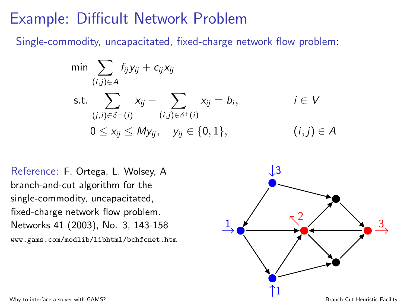#### Example: Difficult Network Problem

Single-commodity, uncapacitated, fixed-charge network flow problem:

$$
\min \sum_{(i,j)\in A} f_{ij}y_{ij} + c_{ij}x_{ij}
$$
\n
$$
\text{s.t.} \sum_{(j,i)\in \delta^{-}(i)} x_{ij} - \sum_{(i,j)\in \delta^{+}(i)} x_{ij} = b_i, \qquad i \in V
$$
\n
$$
0 \le x_{ij} \le My_{ij}, \quad y_{ij} \in \{0, 1\}, \qquad (i,j) \in A
$$

Reference: F. Ortega, L. Wolsey, A branch-and-cut algorithm for the single-commodity, uncapacitated, fixed-charge network flow problem. Networks 41 (2003), No. 3, 143-158 <www.gams.com/modlib/libhtml/bchfcnet.htm>

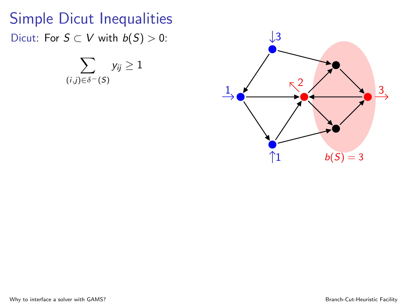# Simple Dicut Inequalities Dicut: For  $S \subset V$  with  $b(S) > 0$ :

$$
\sum_{(i,j)\in\delta^-(S)}y_{ij}\geq 1
$$

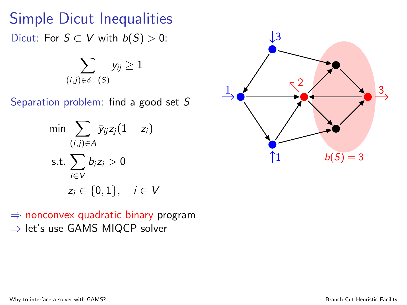## Simple Dicut Inequalities Dicut: For  $S \subset V$  with  $b(S) > 0$ :

$$
\sum_{(i,j)\in\delta^-(\mathcal{S})}y_{ij}\geq 1
$$

Separation problem: find a good set S

$$
\min \sum_{(i,j)\in A} \bar{y}_{ij} z_j (1-z_i)
$$
\n
$$
\text{s.t.} \sum_{i\in V} b_i z_i > 0
$$
\n
$$
z_i \in \{0, 1\}, \quad i \in V
$$

 $\Rightarrow$  nonconvex quadratic binary program ⇒ let's use GAMS MIQCP solver

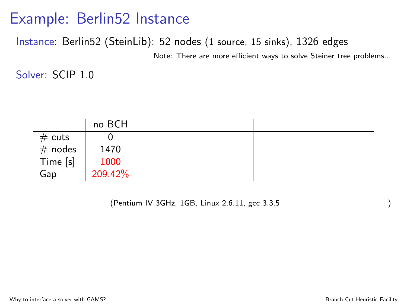#### Instance: Berlin52 (SteinLib): 52 nodes (1 source, 15 sinks), 1326 edges

Note: There are more efficient ways to solve Steiner tree problems...

Solver: SCIP 1.0

٠

|                                      | no BCH          |  |
|--------------------------------------|-----------------|--|
|                                      |                 |  |
|                                      | 1470            |  |
|                                      |                 |  |
| # cuts<br># nodes<br>Time [s]<br>Gap | 1000<br>209.42% |  |

(Pentium IV 3GHz, 1GB, Linux 2.6.11, gcc 3.3.5

)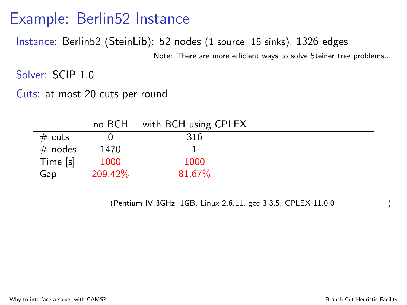Instance: Berlin52 (SteinLib): 52 nodes (1 source, 15 sinks), 1326 edges

Note: There are more efficient ways to solve Steiner tree problems...

Solver: SCIP 1.0

Cuts: at most 20 cuts per round

|                                      | no BCH  | with BCH using CPLEX |  |
|--------------------------------------|---------|----------------------|--|
|                                      |         | 316                  |  |
|                                      | 1470    |                      |  |
|                                      | 1000    | 1000                 |  |
| # cuts<br># nodes<br>Time [s]<br>Gap | 209.42% | 81.67%               |  |

(Pentium IV 3GHz, 1GB, Linux 2.6.11, gcc 3.3.5, CPLEX 11.0.0

)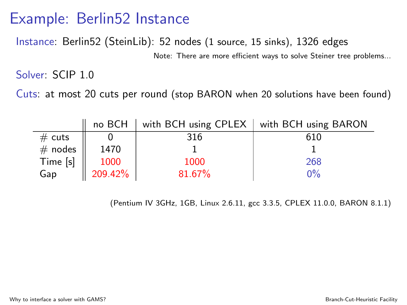Instance: Berlin52 (SteinLib): 52 nodes (1 source, 15 sinks), 1326 edges

Note: There are more efficient ways to solve Steiner tree problems...

Solver: SCIP 1.0

Cuts: at most 20 cuts per round (stop BARON when 20 solutions have been found)

|                                      | no BCH               |        | with BCH using CPLEX   with BCH using BARON |
|--------------------------------------|----------------------|--------|---------------------------------------------|
|                                      |                      | 316    | 610                                         |
|                                      | 1470                 |        |                                             |
|                                      |                      | 1000   | 268                                         |
| # cuts<br># nodes<br>Time [s]<br>Gap | $1000$<br>$209.42\%$ | 81.67% | ገ%                                          |

(Pentium IV 3GHz, 1GB, Linux 2.6.11, gcc 3.3.5, CPLEX 11.0.0, BARON 8.1.1)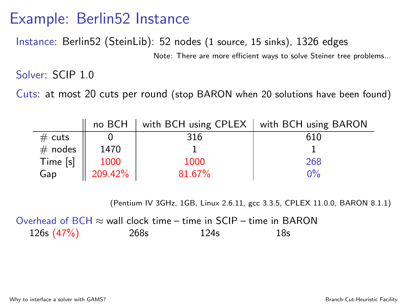Instance: Berlin52 (SteinLib): 52 nodes (1 source, 15 sinks), 1326 edges

Note: There are more efficient ways to solve Steiner tree problems...

Solver: SCIP 1.0

Cuts: at most 20 cuts per round (stop BARON when 20 solutions have been found)

|                                      | no BCH               | with BCH using CPLEX | with BCH using BARON |
|--------------------------------------|----------------------|----------------------|----------------------|
|                                      |                      | 316                  | 610                  |
|                                      | 1470                 |                      |                      |
|                                      |                      | 1000                 | 268                  |
| # cuts<br># nodes<br>Time [s]<br>Gap | $1000$<br>$209.42\%$ | 81.67%               | 2%                   |

(Pentium IV 3GHz, 1GB, Linux 2.6.11, gcc 3.3.5, CPLEX 11.0.0, BARON 8.1.1)

Overhead of BCH  $\approx$  wall clock time – time in SCIP – time in BARON 126s (47%) 268s 124s 18s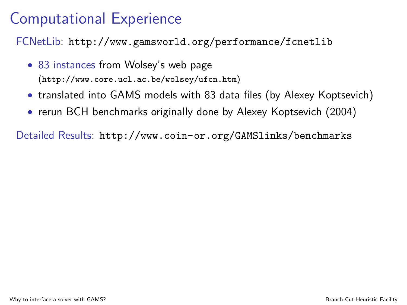## Computational Experience

FCNetLib: <http://www.gamsworld.org/performance/fcnetlib>

- 83 instances from Wolsey's web page (<http://www.core.ucl.ac.be/wolsey/ufcn.htm>)
- translated into GAMS models with 83 data files (by Alexey Koptsevich)
- rerun BCH benchmarks originally done by Alexey Koptsevich (2004)

Detailed Results: <http://www.coin-or.org/GAMSlinks/benchmarks>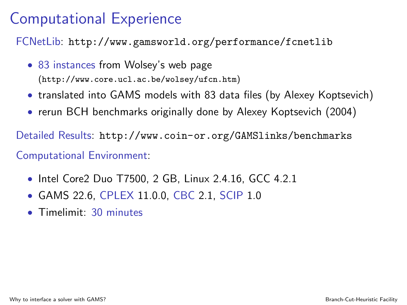## Computational Experience

FCNetLib: <http://www.gamsworld.org/performance/fcnetlib>

- 83 instances from Wolsey's web page (<http://www.core.ucl.ac.be/wolsey/ufcn.htm>)
- translated into GAMS models with 83 data files (by Alexey Koptsevich)
- rerun BCH benchmarks originally done by Alexey Koptsevich (2004)

Detailed Results: <http://www.coin-or.org/GAMSlinks/benchmarks>

#### Computational Environment:

- Intel Core2 Duo T7500, 2 GB, Linux 2.4.16, GCC 4.2.1
- GAMS 22.6, CPLEX 11.0.0, CBC 2.1, SCIP 1.0
- Timelimit: 30 minutes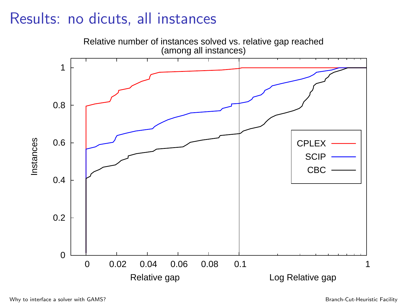## Results: no dicuts, all instances

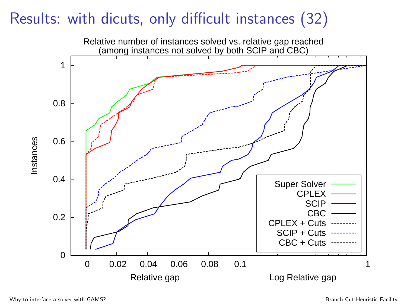## Results: with dicuts, only difficult instances (32)

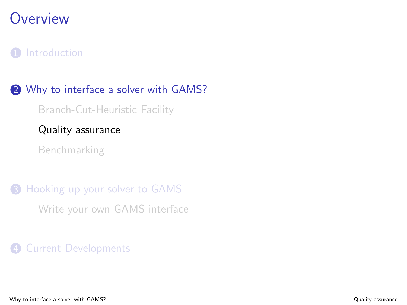### **Overview**

#### **1** [Introduction](#page-2-0)

2 [Why to interface a solver with GAMS?](#page-9-0) [Branch-Cut-Heuristic Facility](#page-9-0) [Quality assurance](#page-23-0) [Benchmarking](#page-29-0)

**3** [Hooking up your solver to GAMS](#page-44-0) [Write your own GAMS interface](#page-44-0)

<span id="page-23-0"></span>4 [Current Developments](#page-57-0)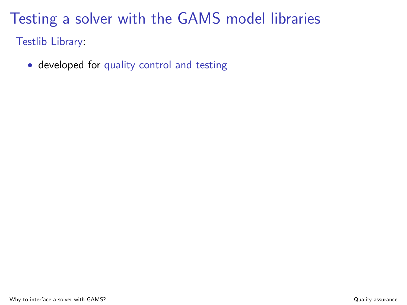Testlib Library:

• developed for quality control and testing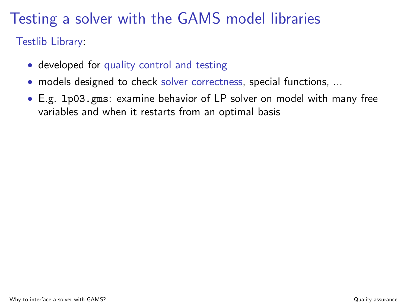Testlib Library:

- developed for quality control and testing
- models designed to check solver correctness, special functions, ...
- E.g. lp03.gms: examine behavior of LP solver on model with many free variables and when it restarts from an optimal basis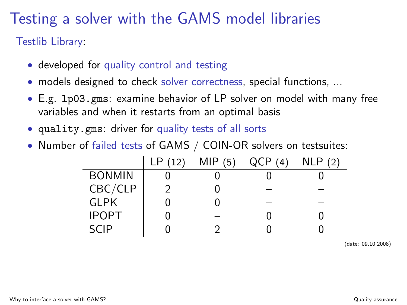Testlib Library:

- developed for quality control and testing
- models designed to check solver correctness, special functions, ...
- E.g. lp03.gms: examine behavior of LP solver on model with many free variables and when it restarts from an optimal basis
- quality.gms: driver for quality tests of all sorts
- Number of failed tests of GAMS / COIN-OR solvers on testsuites:

|               | LP(12) | MIP(5) | QCP(4) | NLP(2) |
|---------------|--------|--------|--------|--------|
| <b>BONMIN</b> |        |        |        |        |
| CBC/CLP       |        |        |        |        |
| <b>GLPK</b>   |        |        |        |        |
| <b>IPOPT</b>  |        |        |        |        |
| SCIP          |        |        |        |        |

(date: 09.10.2008)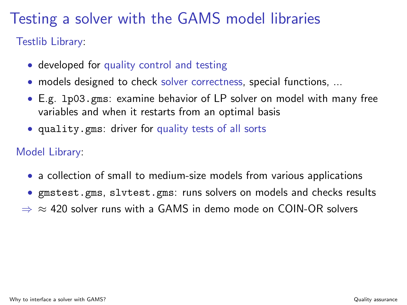Testlib Library:

- developed for quality control and testing
- models designed to check solver correctness, special functions, ...
- E.g. lp03.gms: examine behavior of LP solver on model with many free variables and when it restarts from an optimal basis
- quality.gms: driver for quality tests of all sorts

#### Model Library:

- a collection of small to medium-size models from various applications
- gmstest.gms, slvtest.gms: runs solvers on models and checks results
- $\Rightarrow$   $\approx$  420 solver runs with a GAMS in demo mode on COIN-OR solvers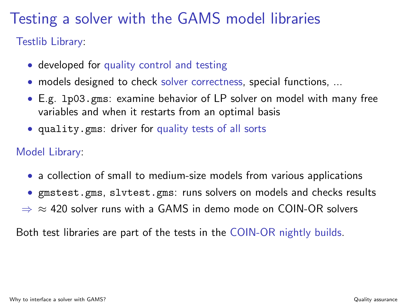Testlib Library:

- developed for quality control and testing
- models designed to check solver correctness, special functions, ...
- E.g. lp03.gms: examine behavior of LP solver on model with many free variables and when it restarts from an optimal basis
- quality.gms: driver for quality tests of all sorts

#### Model Library:

- a collection of small to medium-size models from various applications
- gmstest.gms, slvtest.gms: runs solvers on models and checks results
- $\Rightarrow$   $\approx$  420 solver runs with a GAMS in demo mode on COIN-OR solvers

Both test libraries are part of the tests in the COIN-OR nightly builds.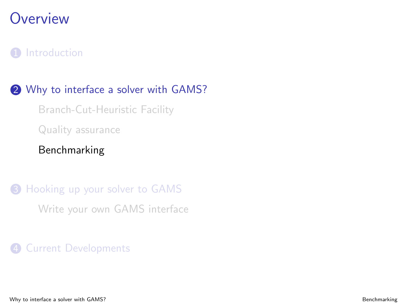### **Overview**

#### **1** [Introduction](#page-2-0)

#### 2 [Why to interface a solver with GAMS?](#page-9-0)

[Branch-Cut-Heuristic Facility](#page-9-0) [Quality assurance](#page-23-0)

#### [Benchmarking](#page-29-0)

**3** [Hooking up your solver to GAMS](#page-44-0) [Write your own GAMS interface](#page-44-0)

<span id="page-29-0"></span>4 [Current Developments](#page-57-0)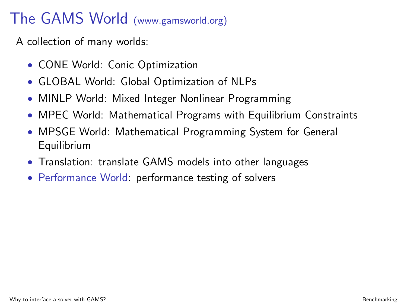## The GAMS World (www.gamsworld.org)

A collection of many worlds:

- CONE World: Conic Optimization
- GLOBAL World: Global Optimization of NLPs
- MINLP World: Mixed Integer Nonlinear Programming
- MPEC World: Mathematical Programs with Equilibrium Constraints
- MPSGE World: Mathematical Programming System for General Equilibrium
- Translation: translate GAMS models into other languages
- Performance World: performance testing of solvers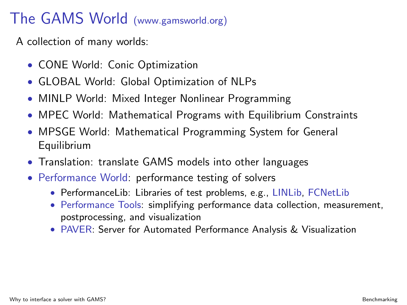## The GAMS World (www.gamsworld.org)

A collection of many worlds:

- CONE World: Conic Optimization
- GLOBAL World: Global Optimization of NLPs
- MINLP World: Mixed Integer Nonlinear Programming
- MPEC World: Mathematical Programs with Equilibrium Constraints
- MPSGE World: Mathematical Programming System for General Equilibrium
- Translation: translate GAMS models into other languages
- Performance World: performance testing of solvers
	- PerformanceLib: Libraries of test problems, e.g., LINLib, FCNetLib
	- Performance Tools: simplifying performance data collection, measurement, postprocessing, and visualization
	- PAVER: Server for Automated Performance Analysis & Visualization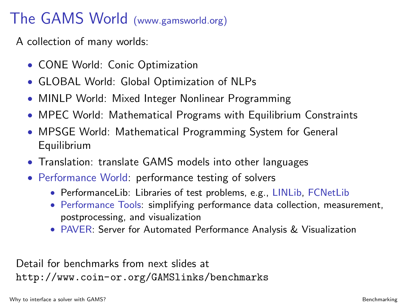## The GAMS World (www.gamsworld.org)

A collection of many worlds:

- CONE World: Conic Optimization
- GLOBAL World: Global Optimization of NLPs
- MINLP World: Mixed Integer Nonlinear Programming
- MPEC World: Mathematical Programs with Equilibrium Constraints
- MPSGE World: Mathematical Programming System for General Equilibrium
- Translation: translate GAMS models into other languages
- Performance World: performance testing of solvers
	- PerformanceLib: Libraries of test problems, e.g., LINLib, FCNetLib
	- Performance Tools: simplifying performance data collection, measurement, postprocessing, and visualization
	- PAVER: Server for Automated Performance Analysis & Visualization

Detail for benchmarks from next slides at <http://www.coin-or.org/GAMSlinks/benchmarks>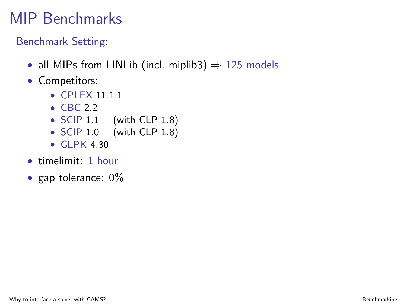## MIP Benchmarks

Benchmark Setting:

- all MIPs from LINLib (incl. miplib3)  $\Rightarrow$  125 models
- Competitors:
	- CPLEX 11.1.1
	- CBC 2.2
	- SCIP 1.1 (with CLP 1.8)
	- SCIP 1.0 (with CLP 1.8)
	- GLPK 4.30
- timelimit: 1 hour
- gap tolerance: 0%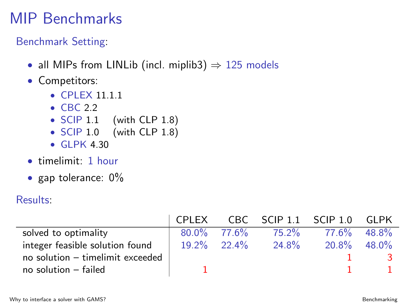## MIP Benchmarks

Benchmark Setting:

- all MIPs from LINLib (incl. miplib3)  $\Rightarrow$  125 models
- Competitors:
	- CPLEX 11.1.1
	- CBC 2.2
	- SCIP 1.1 (with CLP 1.8)
	- SCIP 1.0 (with CLP 1.8)
	- GLPK 4.30
- timelimit: 1 hour
- gap tolerance: 0%

#### Results:

|                                    | l CPI FX |                |          | CBC SCIP 1.1 SCIP 1.0 | GI PK |
|------------------------------------|----------|----------------|----------|-----------------------|-------|
| solved to optimality               |          | $80.0\%$ 77.6% | 75.2%    | 77.6%                 | 48.8% |
| integer feasible solution found    |          | $19.2\%$ 22.4% | $24.8\%$ | $20.8\%$ 48.0%        |       |
| no solution $-$ timelimit exceeded |          |                |          |                       |       |
| $no$ solution $-$ failed           |          |                |          |                       |       |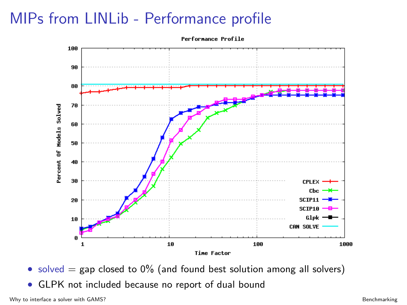## MIPs from LINLib - Performance profile



• solved  $=$  gap closed to 0% (and found best solution among all solvers)

• GLPK not included because no report of dual bound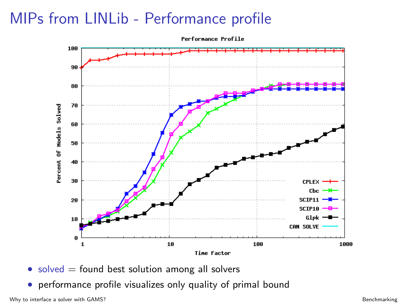## MIPs from LINLib - Performance profile



 $\bullet$  solved  $=$  found best solution among all solvers

• performance profile visualizes only quality of primal bound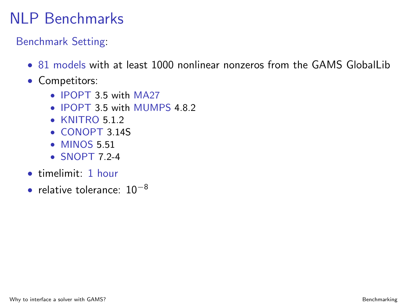## NLP Benchmarks

Benchmark Setting:

- 81 models with at least 1000 nonlinear nonzeros from the GAMS Globall ib
- Competitors:
	- IPOPT 3.5 with MA27
	- IPOPT 3.5 with MUMPS 4.8.2
	- KNITRO 5.1.2
	- CONOPT 3.14S
	- MINOS 5.51
	- $\bullet$  SNOPT 7 2-4
- timelimit: 1 hour
- relative tolerance:  $10^{-8}$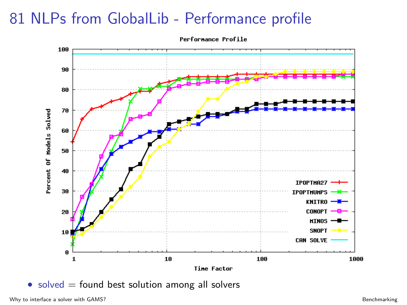## 81 NLPs from GlobalLib - Performance profile



 $\bullet$  solved  $=$  found best solution among all solvers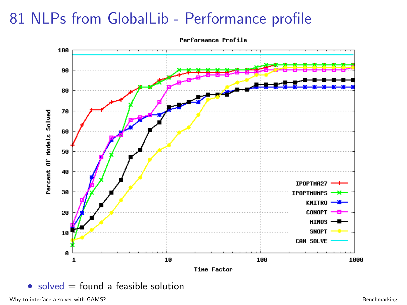### 81 NLPs from GlobalLib - Performance profile



Performance Profile

 $\bullet$  solved  $=$  found a feasible solution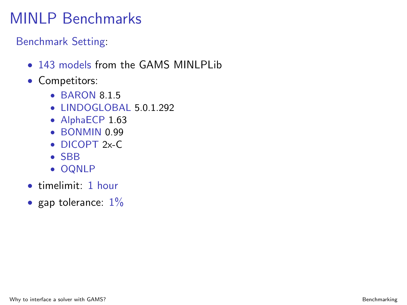## MINLP Benchmarks

Benchmark Setting:

- 143 models from the GAMS MINI PL ib
- Competitors:
	- BARON 8.1.5
	- LINDOGLOBAL 5.0.1.292
	- AlphaECP 1.63
	- BONMIN 0.99
	- DICOPT 2x-C
	- SBB
	- OQNLP
- timelimit: 1 hour
- gap tolerance:  $1\%$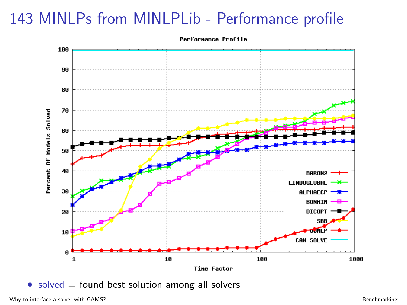### 143 MINLPs from MINLPLib - Performance profile

Performance Profile



 $\bullet$  solved  $=$  found best solution among all solvers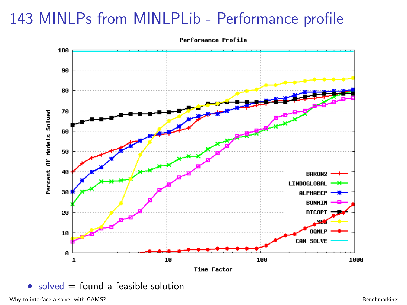### 143 MINLPs from MINLPLib - Performance profile



 $\bullet$  solved  $=$  found a feasible solution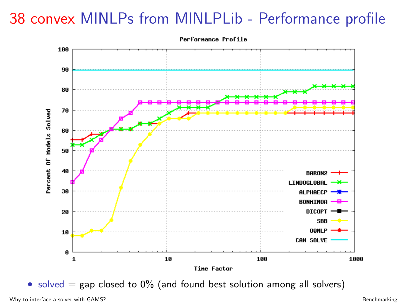### 38 convex MINLPs from MINLPLib - Performance profile



• solved  $=$  gap closed to 0% (and found best solution among all solvers)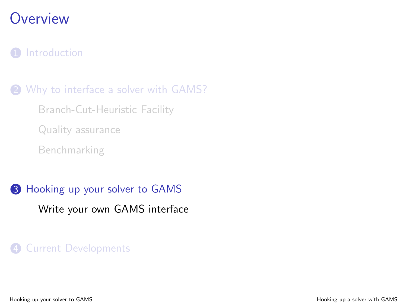### **Overview**

#### **1** [Introduction](#page-2-0)

2 [Why to interface a solver with GAMS?](#page-9-0) [Branch-Cut-Heuristic Facility](#page-9-0) [Quality assurance](#page-23-0)

[Benchmarking](#page-29-0)

<sup>3</sup> [Hooking up your solver to GAMS](#page-44-0) [Write your own GAMS interface](#page-44-0)

#### 4 [Current Developments](#page-57-0)

<span id="page-44-0"></span>Hooking up your solver to GAMS Hooking up a solver with GAMS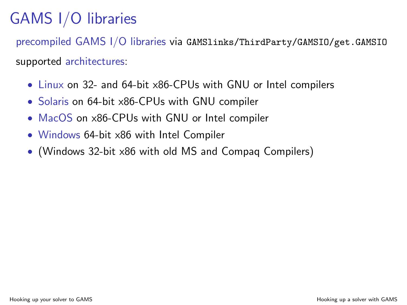# GAMS I/O libraries

precompiled GAMS I/O libraries via GAMSlinks/ThirdParty/GAMSIO/get.GAMSIO supported architectures:

- Linux on 32- and 64-bit x86-CPUs with GNU or Intel compilers
- Solaris on 64-bit x86-CPUs with GNU compiler
- MacOS on x86-CPUs with GNU or Intel compiler
- Windows 64-bit x86 with Intel Compiler
- (Windows 32-bit x86 with old MS and Compaq Compilers)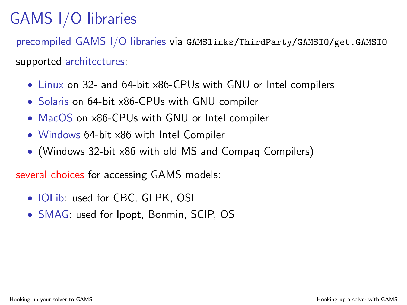# GAMS I/O libraries

precompiled GAMS I/O libraries via GAMSlinks/ThirdParty/GAMSIO/get.GAMSIO supported architectures:

- Linux on 32- and 64-bit x86-CPUs with GNU or Intel compilers
- Solaris on 64-bit x86-CPUs with GNU compiler
- MacOS on x86-CPUs with GNU or Intel compiler
- Windows 64-bit x86 with Intel Compiler
- (Windows 32-bit x86 with old MS and Compaq Compilers)

several choices for accessing GAMS models:

- IOLib: used for CBC, GLPK, OSI
- SMAG: used for Ipopt, Bonmin, SCIP, OS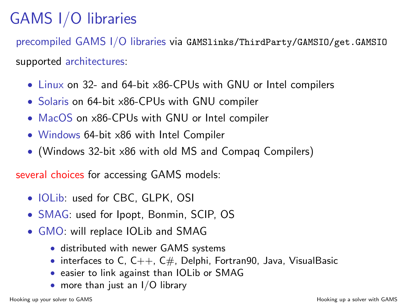# GAMS I/O libraries

precompiled GAMS I/O libraries via GAMSlinks/ThirdParty/GAMSIO/get.GAMSIO supported architectures:

- Linux on 32- and 64-bit x86-CPUs with GNU or Intel compilers
- Solaris on 64-bit x86-CPUs with GNU compiler
- MacOS on x86-CPUs with GNU or Intel compiler
- Windows 64-bit x86 with Intel Compiler
- (Windows 32-bit x86 with old MS and Compaq Compilers)

several choices for accessing GAMS models:

- IOLib: used for CBC, GLPK, OSI
- SMAG: used for Ipopt, Bonmin, SCIP, OS
- GMO: will replace IOLib and SMAG
	- distributed with newer GAMS systems
	- interfaces to C,  $C_{++}$ ,  $C_{\#}$ , Delphi, Fortran90, Java, VisualBasic
	- easier to link against than IOLib or SMAG
	- more than just an I/O library

Hooking up your solver to GAMS Hooking up a solver with GAMS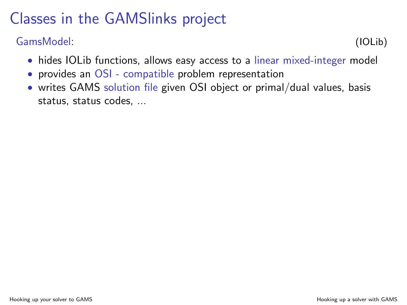#### GamsModel: (IOLib)

- hides IOLib functions, allows easy access to a linear mixed-integer model
- provides an OSI compatible problem representation
- writes GAMS solution file given OSI object or primal/dual values, basis status, status codes, ...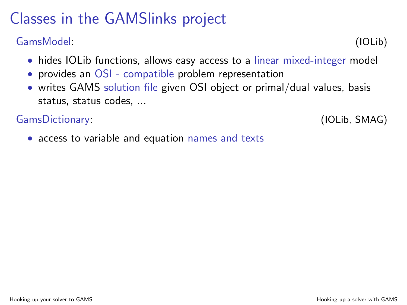#### GamsModel: (IOLib)

- hides IOLib functions, allows easy access to a linear mixed-integer model
- provides an OSI compatible problem representation
- writes GAMS solution file given OSI object or primal/dual values, basis status, status codes, ...

GamsDictionary: (IOLib, SMAG)

• access to variable and equation names and texts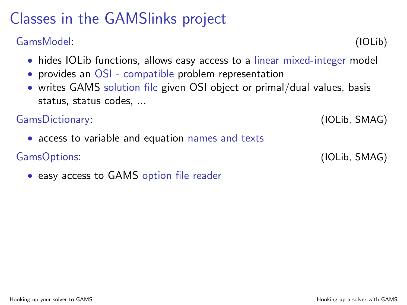#### GamsModel: (IOLib)

- hides IOLib functions, allows easy access to a linear mixed-integer model
- provides an OSI compatible problem representation
- writes GAMS solution file given OSI object or primal/dual values, basis status, status codes, ...

#### GamsDictionary: (IOLib, SMAG)

• access to variable and equation names and texts

#### GamsOptions: (IOLib, SMAG)

• easy access to GAMS option file reader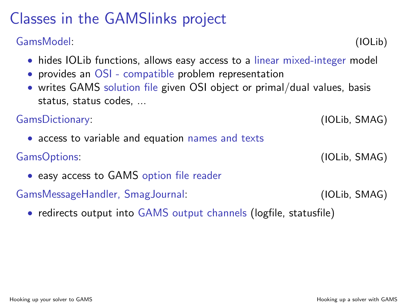#### GamsModel: (IOLib)

- hides IOLib functions, allows easy access to a linear mixed-integer model
- provides an OSI compatible problem representation
- writes GAMS solution file given OSI object or primal/dual values, basis status, status codes, ...

GamsDictionary: (IOLib, SMAG)

• access to variable and equation names and texts

GamsOptions: (IOLib, SMAG)

• easy access to GAMS option file reader

GamsMessageHandler, SmagJournal: (IOLib, SMAG)

• redirects output into GAMS output channels (logfile, statusfile)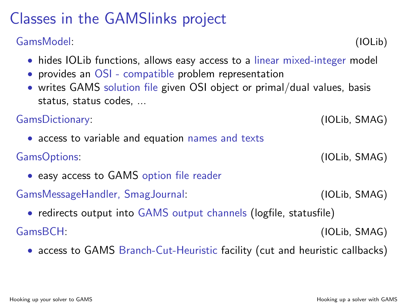#### GamsModel: (IOLib)

- hides IOLib functions, allows easy access to a linear mixed-integer model
- provides an OSI compatible problem representation
- writes GAMS solution file given OSI object or primal/dual values, basis status, status codes, ...

GamsDictionary: (IOLib, SMAG) • access to variable and equation names and texts GamsOptions: (IOLib, SMAG)

• easy access to GAMS option file reader

GamsMessageHandler, SmagJournal: (IOLib, SMAG)

• redirects output into GAMS output channels (logfile, statusfile)

GamsBCH: (IOLib, SMAG)

• access to GAMS Branch-Cut-Heuristic facility (cut and heuristic callbacks)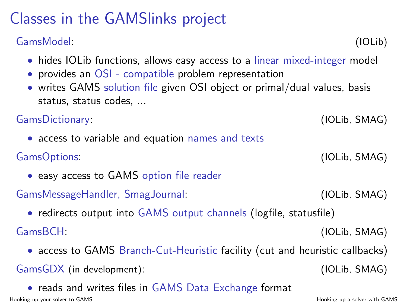#### GamsModel: (IOLib)

- hides IOLib functions, allows easy access to a linear mixed-integer model
- provides an OSI compatible problem representation
- writes GAMS solution file given OSI object or primal/dual values, basis status, status codes, ...

GamsDictionary: (IOLib, SMAG) • access to variable and equation names and texts GamsOptions: (IOLib, SMAG)

• easy access to GAMS option file reader

GamsMessageHandler, SmagJournal: (IOLib, SMAG)

• redirects output into GAMS output channels (logfile, statusfile)

GamsBCH: (IOLib, SMAG)

• access to GAMS Branch-Cut-Heuristic facility (cut and heuristic callbacks)

GamsGDX (in development): (IOLib, SMAG)

• reads and writes files in GAMS Data Exchange format Hooking up your solver to GAMS Hooking up a solver with GAMS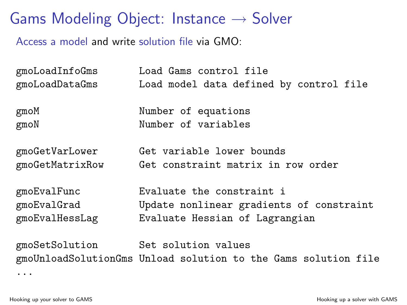Gams Modeling Object: Instance  $\rightarrow$  Solver

Access a model and write solution file via GMO:

| gmoLoadInfoGms  | Load Gams control file                                         |
|-----------------|----------------------------------------------------------------|
| gmoLoadDataGms  | Load model data defined by control file                        |
| gmoM            | Number of equations                                            |
| $g$ mo $N$      | Number of variables                                            |
| gmoGetVarLower  | Get variable lower bounds                                      |
| gmoGetMatrixRow | Get constraint matrix in row order                             |
| gmoEvalFunc     | Evaluate the constraint i                                      |
| gmoEvalGrad     | Update nonlinear gradients of constraint                       |
| gmoEvalHessLag  | Evaluate Hessian of Lagrangian                                 |
| gmoSetSolution  | Set solution values                                            |
|                 | gmoUnloadSolutionGms Unload solution to the Gams solution file |
|                 |                                                                |

Hooking up your solver to GAMS Hooking up a solver with GAMS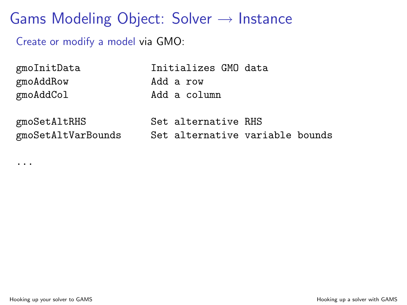### Gams Modeling Object: Solver  $\rightarrow$  Instance

Create or modify a model via GMO:

| gmoInitData        | Initializes GMO data            |
|--------------------|---------------------------------|
| gmoAddRow          | Add a row                       |
| gmoAddCol          | Add a column                    |
|                    |                                 |
| gmoSetAltRHS       | Set alternative RHS             |
| gmoSetAltVarBounds | Set alternative variable bounds |
|                    |                                 |

...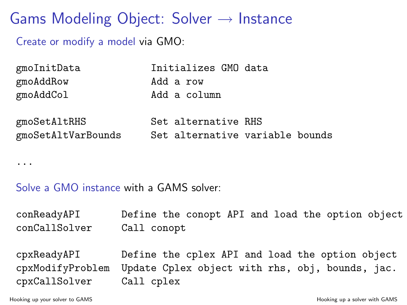Gams Modeling Object: Solver  $\rightarrow$  Instance

Create or modify a model via GMO:

| gmoInitData        | Initializes GMO data            |
|--------------------|---------------------------------|
| gmoAddRow          | Add a row                       |
| gmoAddCol          | Add a column                    |
| gmoSetAltRHS       | Set alternative RHS             |
| gmoSetAltVarBounds | Set alternative variable bounds |

...

Solve a GMO instance with a GAMS solver:

| conReadyAPI      | Define the conopt API and load the option object |
|------------------|--------------------------------------------------|
| conCallSolver    | Call conopt                                      |
|                  |                                                  |
| cpxReadyAPI      | Define the cplex API and load the option object  |
| cpxModifyProblem | Update Cplex object with rhs, obj, bounds, jac.  |

cpxCallSolver Call cplex

Hooking up your solver to GAMS Hooking up a solver with GAMS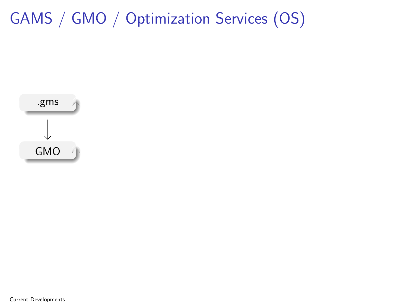<span id="page-57-0"></span>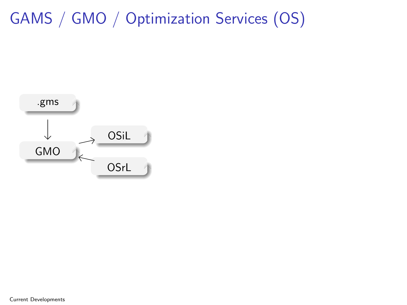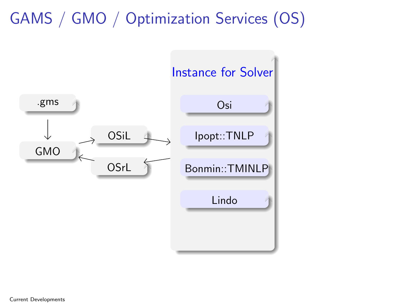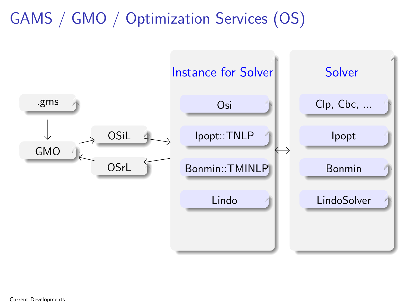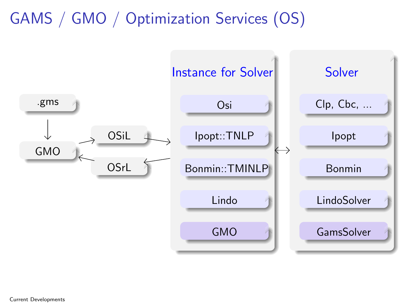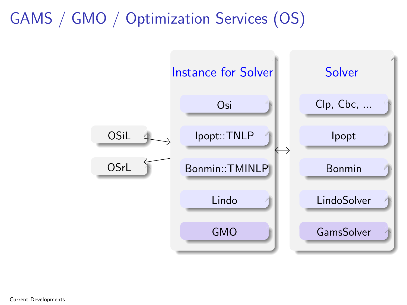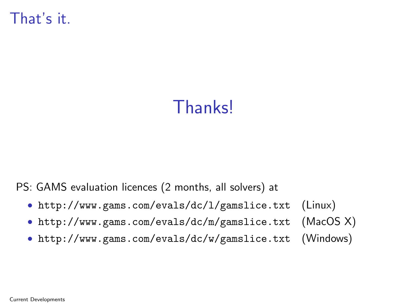That's it.

# **Thanks!**

PS: GAMS evaluation licences (2 months, all solvers) at

- <http://www.gams.com/evals/dc/l/gamslice.txt> (Linux)
- <http://www.gams.com/evals/dc/m/gamslice.txt> (MacOS X)
- <http://www.gams.com/evals/dc/w/gamslice.txt> (Windows)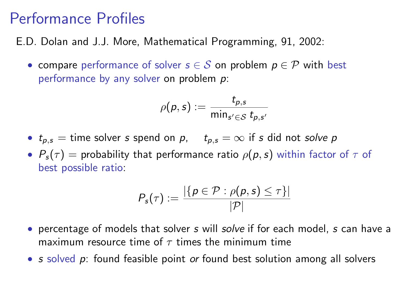#### Performance Profiles

E.D. Dolan and J.J. More, Mathematical Programming, 91, 2002:

• compare performance of solver  $s \in S$  on problem  $p \in \mathcal{P}$  with best performance by any solver on problem p:

$$
\rho(\rho,s):=\frac{t_{\rho,s}}{\min_{s'\in\mathcal{S}}t_{\rho,s'}}
$$

- $t_{p,s}$  = time solver s spend on p,  $t_{p,s} = \infty$  if s did not solve p
- $P_s(\tau)$  = probability that performance ratio  $\rho(p,s)$  within factor of  $\tau$  of best possible ratio:

$$
P_{\mathsf{s}}(\tau) := \frac{|\{p \in \mathcal{P} : \rho(p, s) \leq \tau\}|}{|\mathcal{P}|}
$$

- percentage of models that solver s will solve if for each model, s can have a maximum resource time of  $\tau$  times the minimum time
- s solved p: found feasible point or found best solution among all solvers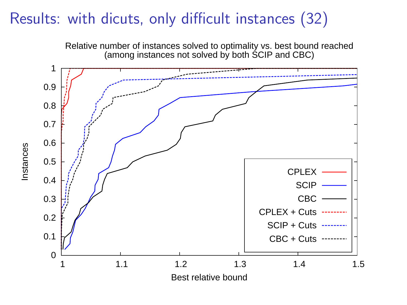### Results: with dicuts, only difficult instances (32)



Instances